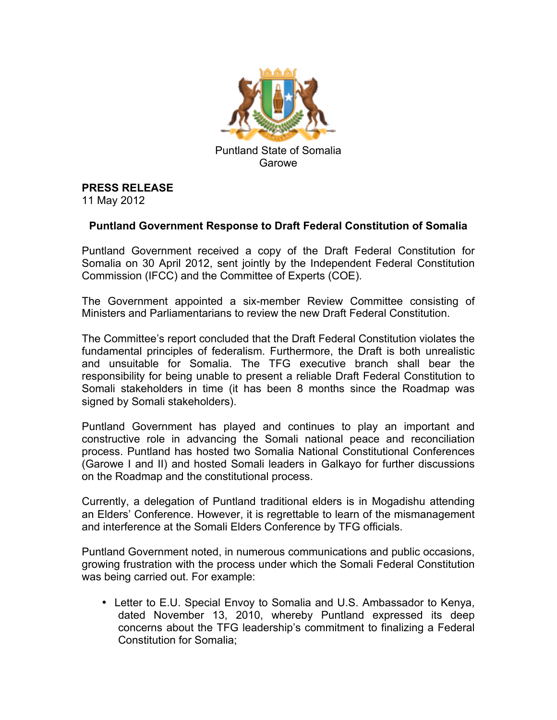

## **PRESS RELEASE**

11 May 2012

## **Puntland Government Response to Draft Federal Constitution of Somalia**

Puntland Government received a copy of the Draft Federal Constitution for Somalia on 30 April 2012, sent jointly by the Independent Federal Constitution Commission (IFCC) and the Committee of Experts (COE).

The Government appointed a six-member Review Committee consisting of Ministers and Parliamentarians to review the new Draft Federal Constitution.

The Committee's report concluded that the Draft Federal Constitution violates the fundamental principles of federalism. Furthermore, the Draft is both unrealistic and unsuitable for Somalia. The TFG executive branch shall bear the responsibility for being unable to present a reliable Draft Federal Constitution to Somali stakeholders in time (it has been 8 months since the Roadmap was signed by Somali stakeholders).

Puntland Government has played and continues to play an important and constructive role in advancing the Somali national peace and reconciliation process. Puntland has hosted two Somalia National Constitutional Conferences (Garowe I and II) and hosted Somali leaders in Galkayo for further discussions on the Roadmap and the constitutional process.

Currently, a delegation of Puntland traditional elders is in Mogadishu attending an Elders' Conference. However, it is regrettable to learn of the mismanagement and interference at the Somali Elders Conference by TFG officials.

Puntland Government noted, in numerous communications and public occasions, growing frustration with the process under which the Somali Federal Constitution was being carried out. For example:

• Letter to E.U. Special Envoy to Somalia and U.S. Ambassador to Kenya, dated November 13, 2010, whereby Puntland expressed its deep concerns about the TFG leadership's commitment to finalizing a Federal Constitution for Somalia;